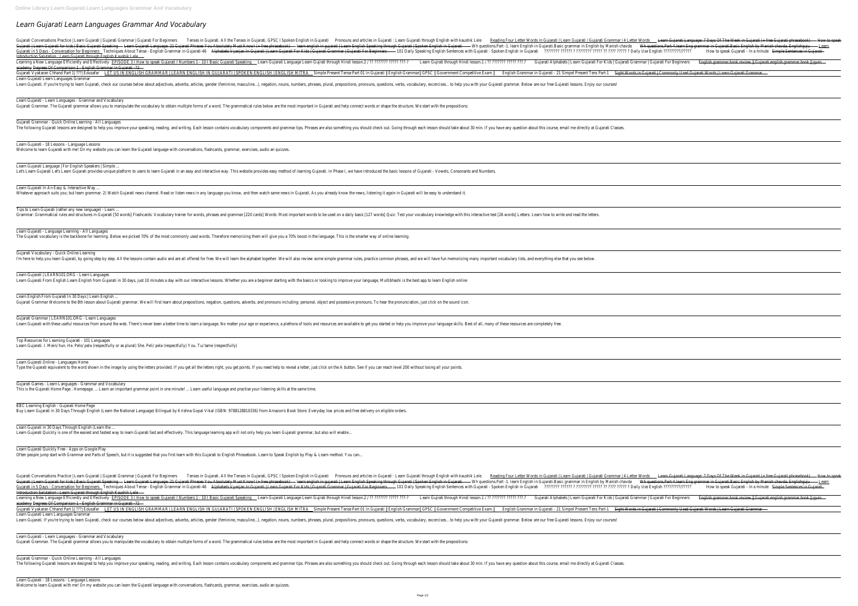# *Learn Gujarati Learn Languages Grammar And Vocabulary*

Pronouns and articles in Gujarati , Guyarati Conversations Practice | Learn Gujarati | Gujarati | Gujarati For Beginners Tenses in Gujarati. All the Tenses in Gujarati All the Tenses in Gujarati | Learn Gujarati | Learn Gu Even Guiarati | Learn Guiarati for kids | Basic Guiarati Speaking - Learn Guiarati Language: 21 Guiarati Phrases You Absolutely Must Know! (+ free phrasebook) - learn English in Guiarati | Spoken English in Guiarati - Wh q Guiarati in 5 Days - Conversation for Beginners Techniques About Tense - English Grammar in Guiarati-46 Alphabets Vyanian In Guiarati Fer Kids | Guiarati Fer Kids | Guiarati Fer Beginners - 101 Daily Speaking English Sente Introduction Salutation : Learn Gujarati through English Kaushik Lele Learning a New Language Efficiently and Effectively EPISODE 3 I How to speak Gujarati I Numbers 1 - 10 I Basic Gujarati Speaking Learn Gujarati Language Learn Gujrati through Hindi lesson.2 / ?? ??????? ????? ????? ????? ? academy Degrees Of Comparison 1 - English Grammar in Gujarati -72 -Simple Present Tense Part 1 | 22] Edusafar LET US IN ENGLISH GRAMMAR | LEARN ENGLISH IN GUJARATI | SPOKEN ENGLISH | ENGLISH | ENGLISH MITRA Simple Present Tense Part 01 In Gujarati || English Grammar|| GPSC || Government C Learn Gujarati Learn Languages Grammar Learn Gujarati. If you're trying to learn Gujarati, check our courses below about adjectives, adverbs, articles, gender (feminine, masculine...), negation, nouns, numbers, phrases, plural, prepositions, verbs, vocabulary, Learn Gujarati - Learn Languages - Grammar and Vocabulary Gujarati Grammar. The Gujarati grammar allows you to manipulate the vocabulary to obtain multiple forms of a word. The grammatical rules below are the most important in Gujarati and help connect words or shape the structur Gujarati Grammar - Quick Online Learning - All Languages The following Gujarati lessons are designed to help you improve your speaking, reading, and writing. Each lesson contains vocabulary components and grammar tips. Phrases are also something you should check out. Going throu Learn Gujarati - 18 Lessons - Language Lessons Welcome to learn Gujarati with me! On my website you can learn the Gujarati language with conversations, flashcards, grammar, exercises, audio an quizzes. Learn Gujarati Language | For English Speakers | Simple. Let's Learn Gujarati Let's Learn Gujarati provides unique platform to users to learn Gujarati in an easy and interactive way. This website provides easy method of learning Gujarati. In Phase I, we have introduced the basic Learn Gujarati In An Easy & Interactive Way Whatever approach suits you; but learn grammar. 2) Watch Gujarati news channel. Read or listen news in any language you know, and then watch same news in Gujarati. As you already know the news, listening it again in Gujara Tips to Learn Gujarati (rather any new language) - Learn ... Expendent Crammar: Grammatical rules and structures in Gujarati [50 words] Flashcards: Vocabulary trainer for words, phrases and grammar [220 cards] Words: Most important words to be used on a daily basis [127 words] Quiz: Learn Gujarati - Language Learning - All Languages The Gujarati vocabulary is the backbone for learning. Below we picked 70% of the most commonly used words. Therefore memorizing them will give you a 70% boost in the language. This is the smarter way of online learning Gujarati Vocabulary - Quick Online Learning I'm here to help you learn Gujarati, by going step by step. All the lessons contain audio and are all offered for free. We will learn the alphabet together. We will also review some simple grammar rules, practice common ph Learn Gujarati | LEARN101.ORG - Learn Languages Learn Gujarati From English Learn English from Gujarati in 30 days, just 10 minutes a day with our interactive lessons. Whether you are a beginner starting with the basics or looking to improve your language, Multibhashi i Learn English From Gujarati In 30 Days | Learn English. Gujarati Grammar Welcome to the 8th lesson about Gujarati grammar. We will first learn about prepositions, negation, questions, adverbs, and pronouns including: personal, object and possessive pronouns. To hear the pronunc Gujarati Grammar | LEARN101.ORG - Learn Languages Learn Gujarati with these useful resources from around the web. There's never been a better time to learn a language. No matter your age or experience, a plethora of tools and resources are available to get you started or Top Resources for Learning Gujarati - 101 Languages Learn Gujarati. I. Mein/ hun. He. Pelo/ pela (respectfully or as plural) She. Peli/ pela (respectfully) You. Tu/ tame (respectfully) Learn Gujarati Online - Languages Home Type the Gujarati equivalent to the word shown in the image by using the letters provided. If you get all the letters right, you get points. If you need help to reveal a letter, just click on the A button. See if you can r Gujarati Games - Learn Languages - Grammar and Vocabulary This is the Gujarati Home Page . Homepage. ... Learn an important grammar point in one minute! ... Learn useful language and practise your listening skills at the same time. BBC Learning English - Gujarati Home Page Buy Learn Gujarati in 30 Days Through English (Learn the National Language) Bilingual by Krishna Gopal Vikal (ISBN: 9788128810336) from Amazon's Book Store. Everyday low prices and free delivery on eligible orders. Learn Gujarati in 30 Days Through English (Learn the ... Learn Gujarati Quickly is one of the easiest and fastest way to learn Gujarati fast and effectively. This language learning app will not only help you learn Gujarati grammar, but also will enable..

Learn Gujarati Quickly Free - Apps on Google Play Often people jump start with Grammar and Parts of Speech, but it is suggested that you first learn with this Gujarati to English Phrasebook. Learn to Speak English by Play & Learn method. You can...

Introduction Salutation : Learn Gujarati through English Kaushik Lele Learning a New Language Efficiently and Effectively EPISODE 3 I How to speak Gujarati I Numbers 1 - 10 I Basic Gujarati Speaking Learn Gujarati Language Learn Gujrati through Hindi lesson.2 / ?? ?????? ???? ????? ????? ??? academy Degrees Of Comparison 1 - English Grammar in Gujarati -72 -

Gujarati | Learn Gujarati for kids | Basic Gujarati Speaking - Learn Gujarati Language: 21 Gujarati Phrases You Absolutely Must Know! (+ free phrasebook) - learn English in Gujarati | Spoken English in Gujarati - Wh questi Gujarati in 5 Days - Conversation for Beginners Techniques About Tense - English Grammar in Gujarati-46 Alphabets Vyanjan In Gujarati Fer Kids | Gujarati For Kids | Gujarati For Beginners - 101 Daily Speaking English Sente Simple Present Tense Part 1 [22] 22] Edusafar LET US IN ENGLISH GRAMMAR | LEARN ENGLISH IN GUJARATI | SPOKEN ENGLISH IN GUJARATI | SPOKEN ENGLISH MITRA Simple Present Tense Part 01 In Gujarati || English Grammar|| GPSC || Learn Gujarati Learn Languages Grammar Learn Gujarati. If you're trying to learn Gujarati, check our courses below about adjectives, adverbs, articles, gender (feminine, masculine...), negation, nouns, numbers, phrases, plural, prepositions, verbs, vocabulary,

Eugarati Conversations Practice | Learn Gujarati | Gujarati | Gujarati Grammar | Gujarati For Beginners Tenses in Gujarati. All the Tenses in Gujarati, GPSC I Spoken English in Gujarati through English with kaushik Lele Re

Learn Gujarati - Learn Languages - Grammar and Vocabulary Gujarati Grammar. The Gujarati grammar allows you to manipulate the vocabulary to obtain multiple forms of a word. The grammatical rules below are the most important in Gujarati and help connect words or shape the structur

Gujarati Grammar - Quick Online Learning - All Languages The following Gujarati lessons are designed to help you improve your speaking, reading, and writing. Each lesson contains vocabulary components and grammar tips. Phrases are also something you should check out. Going throu

Learn Gujarati - 18 Lessons - Language Lessons Welcome to learn Gujarati with me! On my website you can learn the Gujarati language with conversations, flashcards, grammar, exercises, audio an quizzes.

| English grammar book review    Gujarati english grammar book    gyan<br>jarati   Commonly Used Gujarati Words   Learn Gujarati Grammar —<br><u>)rds   Learn Gujarati Language: 7 Days Of The Week in Gujarati (+ free Gujarati phrasebook) — How to speak</u><br>questions.Part 4.learn Eng grammar in Gujarati.Basic English by Manish chavda. Englishguju — <u>Learn </u><br>English ?????????/??????<br>How to speak Gujarati - In a minute Simple Sentences in Gujarati-<br>English grammar book review    Gujarati english grammar book    gyan | English ?????????/????? | How to speak Gujarati - In a minute Simple Sentences in Gujarati- |
|------------------------------------------------------------------------------------------------------------------------------------------------------------------------------------------------------------------------------------------------------------------------------------------------------------------------------------------------------------------------------------------------------------------------------------------------------------------------------------------------------------------------------------------------------|-------------------------|-------------------------------------------------------------------|
|                                                                                                                                                                                                                                                                                                                                                                                                                                                                                                                                                      | Gujarati For Beginners  |                                                                   |
|                                                                                                                                                                                                                                                                                                                                                                                                                                                                                                                                                      |                         |                                                                   |
|                                                                                                                                                                                                                                                                                                                                                                                                                                                                                                                                                      |                         |                                                                   |
|                                                                                                                                                                                                                                                                                                                                                                                                                                                                                                                                                      |                         |                                                                   |
|                                                                                                                                                                                                                                                                                                                                                                                                                                                                                                                                                      |                         |                                                                   |
|                                                                                                                                                                                                                                                                                                                                                                                                                                                                                                                                                      |                         |                                                                   |
|                                                                                                                                                                                                                                                                                                                                                                                                                                                                                                                                                      |                         |                                                                   |
|                                                                                                                                                                                                                                                                                                                                                                                                                                                                                                                                                      |                         |                                                                   |
|                                                                                                                                                                                                                                                                                                                                                                                                                                                                                                                                                      |                         |                                                                   |
|                                                                                                                                                                                                                                                                                                                                                                                                                                                                                                                                                      |                         |                                                                   |
|                                                                                                                                                                                                                                                                                                                                                                                                                                                                                                                                                      |                         |                                                                   |
|                                                                                                                                                                                                                                                                                                                                                                                                                                                                                                                                                      |                         |                                                                   |
|                                                                                                                                                                                                                                                                                                                                                                                                                                                                                                                                                      |                         |                                                                   |
|                                                                                                                                                                                                                                                                                                                                                                                                                                                                                                                                                      |                         |                                                                   |
|                                                                                                                                                                                                                                                                                                                                                                                                                                                                                                                                                      |                         |                                                                   |
|                                                                                                                                                                                                                                                                                                                                                                                                                                                                                                                                                      |                         |                                                                   |
|                                                                                                                                                                                                                                                                                                                                                                                                                                                                                                                                                      |                         |                                                                   |
|                                                                                                                                                                                                                                                                                                                                                                                                                                                                                                                                                      |                         |                                                                   |
|                                                                                                                                                                                                                                                                                                                                                                                                                                                                                                                                                      |                         |                                                                   |
|                                                                                                                                                                                                                                                                                                                                                                                                                                                                                                                                                      |                         |                                                                   |
|                                                                                                                                                                                                                                                                                                                                                                                                                                                                                                                                                      |                         |                                                                   |
|                                                                                                                                                                                                                                                                                                                                                                                                                                                                                                                                                      |                         |                                                                   |
|                                                                                                                                                                                                                                                                                                                                                                                                                                                                                                                                                      |                         |                                                                   |
|                                                                                                                                                                                                                                                                                                                                                                                                                                                                                                                                                      |                         |                                                                   |
|                                                                                                                                                                                                                                                                                                                                                                                                                                                                                                                                                      |                         |                                                                   |
|                                                                                                                                                                                                                                                                                                                                                                                                                                                                                                                                                      |                         |                                                                   |
|                                                                                                                                                                                                                                                                                                                                                                                                                                                                                                                                                      |                         |                                                                   |
|                                                                                                                                                                                                                                                                                                                                                                                                                                                                                                                                                      |                         |                                                                   |
|                                                                                                                                                                                                                                                                                                                                                                                                                                                                                                                                                      |                         |                                                                   |
|                                                                                                                                                                                                                                                                                                                                                                                                                                                                                                                                                      |                         |                                                                   |
|                                                                                                                                                                                                                                                                                                                                                                                                                                                                                                                                                      |                         |                                                                   |
|                                                                                                                                                                                                                                                                                                                                                                                                                                                                                                                                                      |                         |                                                                   |
|                                                                                                                                                                                                                                                                                                                                                                                                                                                                                                                                                      |                         |                                                                   |
|                                                                                                                                                                                                                                                                                                                                                                                                                                                                                                                                                      |                         |                                                                   |
|                                                                                                                                                                                                                                                                                                                                                                                                                                                                                                                                                      |                         |                                                                   |
|                                                                                                                                                                                                                                                                                                                                                                                                                                                                                                                                                      |                         |                                                                   |
|                                                                                                                                                                                                                                                                                                                                                                                                                                                                                                                                                      |                         |                                                                   |
|                                                                                                                                                                                                                                                                                                                                                                                                                                                                                                                                                      |                         |                                                                   |
|                                                                                                                                                                                                                                                                                                                                                                                                                                                                                                                                                      |                         |                                                                   |
|                                                                                                                                                                                                                                                                                                                                                                                                                                                                                                                                                      |                         |                                                                   |
|                                                                                                                                                                                                                                                                                                                                                                                                                                                                                                                                                      |                         |                                                                   |
|                                                                                                                                                                                                                                                                                                                                                                                                                                                                                                                                                      |                         |                                                                   |
|                                                                                                                                                                                                                                                                                                                                                                                                                                                                                                                                                      | Gujarati For Beginners  |                                                                   |
|                                                                                                                                                                                                                                                                                                                                                                                                                                                                                                                                                      |                         |                                                                   |